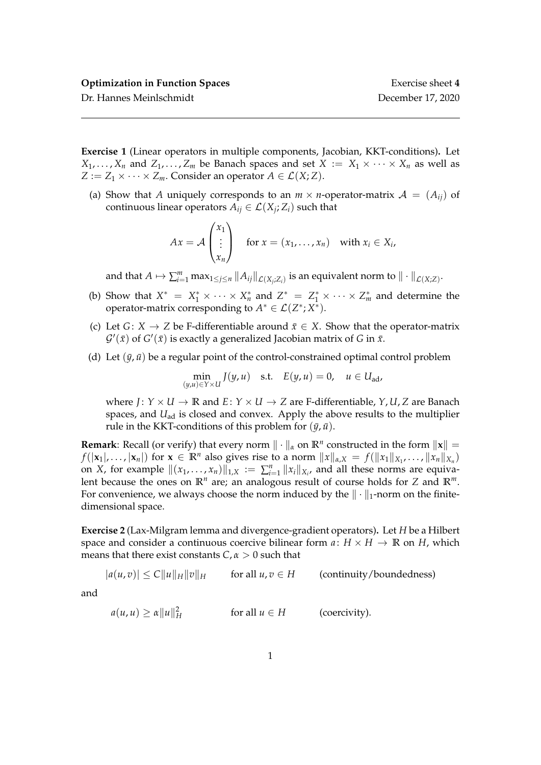**Exercise 1** (Linear operators in multiple components, Jacobian, KKT-conditions)**.** Let  $X_1, \ldots, X_n$  and  $Z_1, \ldots, Z_m$  be Banach spaces and set  $X := X_1 \times \cdots \times X_n$  as well as *Z* :=  $Z_1 \times \cdots \times Z_m$ . Consider an operator  $A \in \mathcal{L}(X; Z)$ .

(a) Show that *A* uniquely corresponds to an  $m \times n$ -operator-matrix  $A = (A_{ii})$  of continuous linear operators  $A_{ij} \in \mathcal{L}(X_j; Z_i)$  such that

$$
Ax = \mathcal{A} \begin{pmatrix} x_1 \\ \vdots \\ x_n \end{pmatrix} \quad \text{for } x = (x_1, \dots, x_n) \quad \text{with } x_i \in X_i,
$$

and that  $A \mapsto \sum_{i=1}^m \max_{1 \leq j \leq n} ||A_{ij}||_{\mathcal{L}(X_j;Z_i)}$  is an equivalent norm to  $||\cdot||_{\mathcal{L}(X;Z)}$ .

- (b) Show that  $X^* = X_1^* \times \cdots \times X_n^*$  and  $Z^* = Z_1^* \times \cdots \times Z_m^*$  and determine the operator-matrix corresponding to  $A^* \in \mathcal{L}(Z^*;X^*)$ .
- (c) Let *G* : *X*  $\rightarrow$  *Z* be F-differentiable around  $\bar{x} \in X$ . Show that the operator-matrix  $\mathcal{G}'(\bar{x})$  of  $G'(\bar{x})$  is exactly a generalized Jacobian matrix of *G* in  $\bar{x}$ .
- (d) Let  $(\bar{y}, \bar{u})$  be a regular point of the control-constrained optimal control problem

$$
\min_{(y,u)\in Y\times U} J(y,u) \quad \text{s.t.} \quad E(y,u) = 0, \quad u \in U_{\text{ad}},
$$

where  $J: Y \times U \rightarrow \mathbb{R}$  and  $E: Y \times U \rightarrow Z$  are F-differentiable,  $Y, U, Z$  are Banach spaces, and *U*<sub>ad</sub> is closed and convex. Apply the above results to the multiplier rule in the KKT-conditions of this problem for  $(\bar{y}, \bar{u})$ .

**Remark**: Recall (or verify) that every norm  $\|\cdot\|_{\alpha}$  on  $\mathbb{R}^n$  constructed in the form  $\|\mathbf{x}\| =$ *f*( $|\mathbf{x}_1|, \ldots, |\mathbf{x}_n|$ ) for  $\mathbf{x} \in \mathbb{R}^n$  also gives rise to a norm  $||x||_{\alpha,X} = f(||x_1||_{X_1}, \ldots, ||x_n||_{X_n})$ on *X*, for example  $\|(x_1, \ldots, x_n)\|_{1,X} := \sum_{i=1}^n \|x_i\|_{X_i}$ , and all these norms are equivalent because the ones on  $\mathbb{R}^n$  are; an analogous result of course holds for *Z* and  $\mathbb{R}^m$ . For convenience, we always choose the norm induced by the  $\|\cdot\|_1$ -norm on the finitedimensional space.

**Exercise 2** (Lax-Milgram lemma and divergence-gradient operators)**.** Let *H* be a Hilbert space and consider a continuous coercive bilinear form  $a: H \times H \rightarrow \mathbb{R}$  on *H*, which means that there exist constants  $C, \alpha > 0$  such that

 $|a(u, v)| \leq C ||u||_H ||v||_H$  for all  $u, v \in H$  (continuity/boundedness)

and

$$
a(u, u) \ge \alpha \|u\|_H^2
$$
 for all  $u \in H$  (coercivity).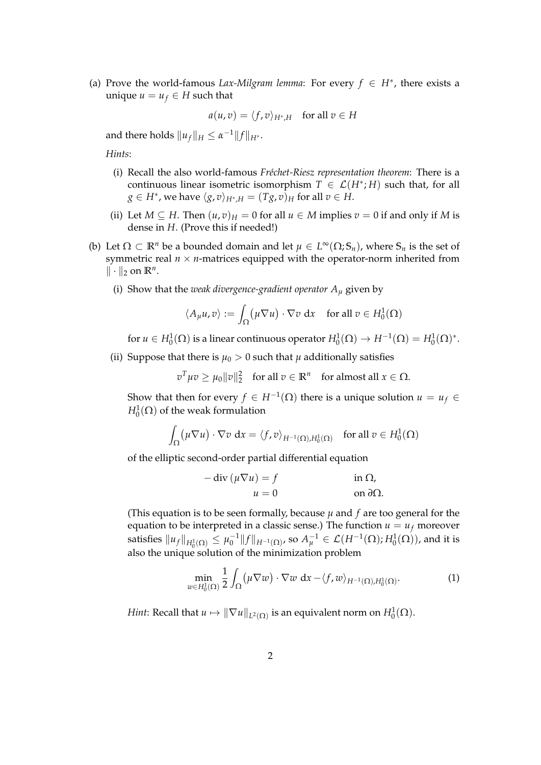(a) Prove the world-famous *Lax-Milgram lemma*: For every  $f \in H^*$ , there exists a unique  $u = u_f \in H$  such that

$$
a(u,v) = \langle f, v \rangle_{H^*,H} \quad \text{for all } v \in H
$$

and there holds  $||u_f||_H \leq \alpha^{-1} ||f||_{H^*}.$ 

*Hints*:

- (i) Recall the also world-famous *Fréchet-Riesz representation theorem*: There is a continuous linear isometric isomorphism  $T \in \mathcal{L}(H^*; H)$  such that, for all  $g \in H^*$ , we have  $\langle g, v \rangle_{H^*,H} = (Tg,v)_H$  for all  $v \in H.$
- (ii) Let  $M \subseteq H$ . Then  $(u, v)_H = 0$  for all  $u \in M$  implies  $v = 0$  if and only if M is dense in *H*. (Prove this if needed!)
- (b) Let  $\Omega \subset \mathbb{R}^n$  be a bounded domain and let  $\mu \in L^\infty(\Omega; \mathbb{S}_n)$ , where  $\mathbb{S}_n$  is the set of symmetric real  $n \times n$ -matrices equipped with the operator-norm inherited from  $\|\cdot\|_2$  on  $\mathbb{R}^n$ .
	- (i) Show that the *weak divergence-gradient operator A<sup>µ</sup>* given by

$$
\langle A_{\mu}u, v \rangle := \int_{\Omega} (\mu \nabla u) \cdot \nabla v \, dx \quad \text{for all } v \in H_0^1(\Omega)
$$

for  $u \in H_0^1(\Omega)$  is a linear continuous operator  $H_0^1(\Omega) \to H^{-1}(\Omega) = H_0^1(\Omega)^*$ .

(ii) Suppose that there is  $\mu_0 > 0$  such that  $\mu$  additionally satisfies

 $v^T \mu v \ge \mu_0 ||v||_2^2$  for all  $v \in \mathbb{R}^n$  for almost all  $x \in \Omega$ .

Show that then for every  $f \in H^{-1}(\Omega)$  there is a unique solution  $u = u_f \in$  $H_0^1(\Omega)$  of the weak formulation

$$
\int_{\Omega} (\mu \nabla u) \cdot \nabla v \, dx = \langle f, v \rangle_{H^{-1}(\Omega), H_0^1(\Omega)} \quad \text{for all } v \in H_0^1(\Omega)
$$

of the elliptic second-order partial differential equation

$$
- \operatorname{div} (\mu \nabla u) = f \qquad \text{in } \Omega,
$$
  

$$
u = 0 \qquad \text{on } \partial \Omega.
$$

(This equation is to be seen formally, because  $\mu$  and  $f$  are too general for the equation to be interpreted in a classic sense.) The function  $u = u_f$  moreover satisfies  $\|u_f\|_{H_0^1(\Omega)}\leq \mu_0^{-1}\|f\|_{H^{-1}(\Omega)}$ , so  $A_\mu^{-1}\in \mathcal{L}(H^{-1}(\Omega);H_0^1(\Omega))$ , and it is also the unique solution of the minimization problem

$$
\min_{w \in H_0^1(\Omega)} \frac{1}{2} \int_{\Omega} (\mu \nabla w) \cdot \nabla w \, dx - \langle f, w \rangle_{H^{-1}(\Omega), H_0^1(\Omega)}.
$$
 (1)

*Hint*: Recall that  $u \mapsto \|\nabla u\|_{L^2(\Omega)}$  is an equivalent norm on  $H^1_0(\Omega).$